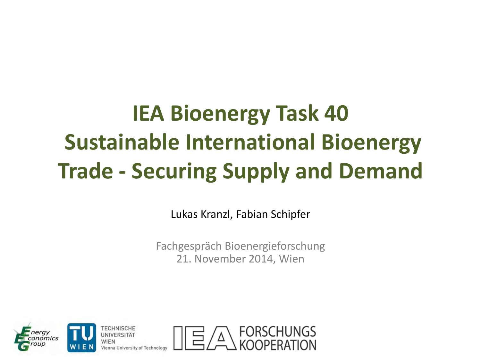## **IEA Bioenergy Task 40 Sustainable International Bioenergy Trade - Securing Supply and Demand**

Lukas Kranzl, Fabian Schipfer

Fachgespräch Bioenergieforschung 21. November 2014, Wien

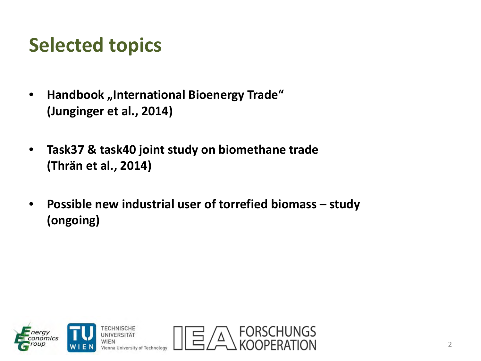### **Selected topics**

- **Handbook "International Bioenergy Trade" (Junginger et al., 2014)**
- **Task37 & task40 joint study on biomethane trade (Thrän et al., 2014)**
- **Possible new industrial user of torrefied biomass study (ongoing)**

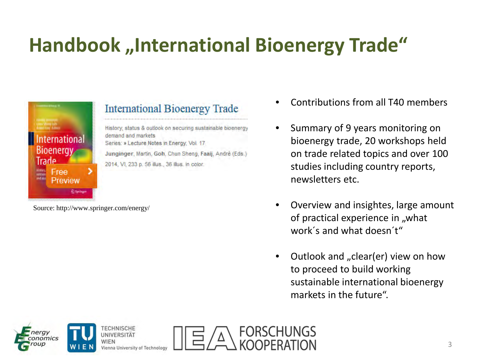## **Handbook** "International Bioenergy Trade"



### **International Bioenergy Trade**

y, status & outlook on securing sustainable bioenergy demand and markets. Series: » Lecture Notes in Energy, Vol. 17 Junginger, Martin, Goh, Chun Sheng, Faaij, André (Eds.) 2014, VI, 233 p. 56 illus., 36 illus. in color.

Source: http://www.springer.com/energy/

- Contributions from all T40 members
- Summary of 9 years monitoring on bioenergy trade, 20 workshops held on trade related topics and over 100 studies including country reports, newsletters etc.
- Overview and insightes, large amount of practical experience in "what work´s and what doesn´t"
- Outlook and "clear(er) view on how to proceed to build working sustainable international bioenergy markets in the future".

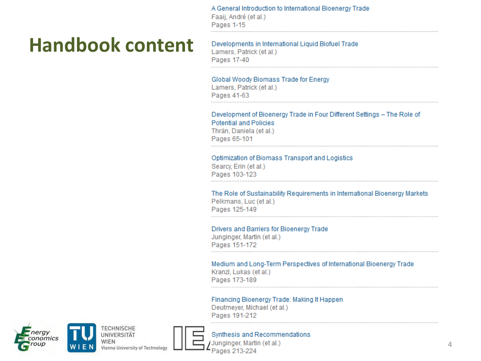A General Introduction to International Bioenergy Trade Faaij, André (et al.) Pages 1-15

#### Developments in International Liquid Biofuel Trade

Lamers, Patrick (et al.) Pages 17-40

#### Global Woody Biomass Trade for Energy

Lamers, Patrick (et al.) Pages 41-63

#### Development of Bioenergy Trade in Four Different Settings - The Role of **Potential and Policies** Thrän, Daniela (et al.)

Pages 65-101

#### Optimization of Biomass Transport and Logistics

Searcy, Erin (et al.) Pages 103-123

The Role of Sustainability Requirements in International Bioenergy Markets Pelkmans, Luc (et al.) Pages 125-149

#### Drivers and Barriers for Bioenergy Trade

Junginger, Martin (et al.) Pages 151-172

#### Medium and Long-Term Perspectives of International Bioenergy Trade

Kranzl, Lukas (et al.) Pages 173-189

#### Financing Bioenergy Trade: Making It Happen

Deutmeyer, Michael (et al.) Pages 191-212





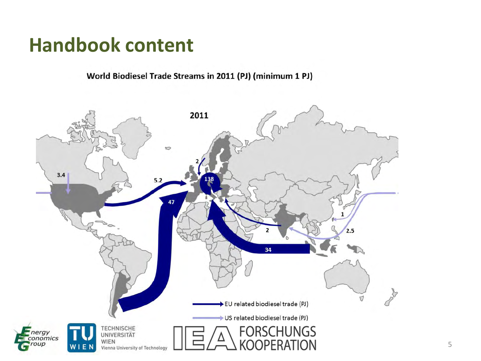World Biodiesel Trade Streams in 2011 (PJ) (minimum 1 PJ)

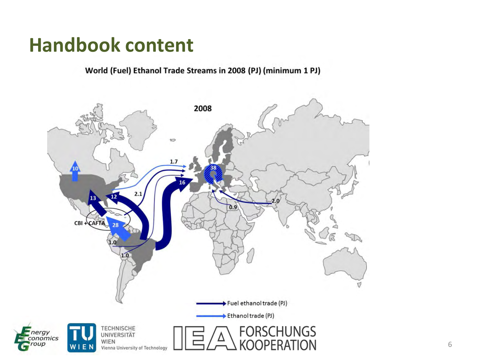World (Fuel) Ethanol Trade Streams in 2008 (PJ) (minimum 1 PJ)

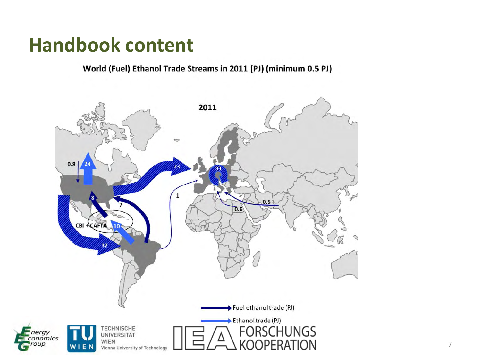World (Fuel) Ethanol Trade Streams in 2011 (PJ) (minimum 0.5 PJ)

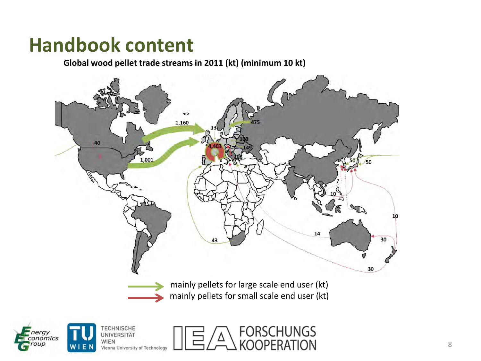**Global wood pellet trade streams in 2011 (kt) (minimum 10 kt)**

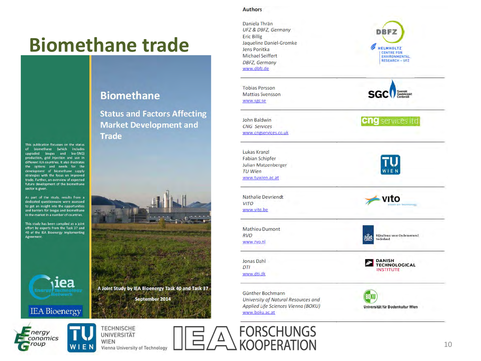### **Biomethane trade**

This publication focusses on the status of biomethane (which includes upgraded biogas and bio-SNG) production, grid injection and use in different IEA countries. It also illustrates the options and needs for the development of biomethane supply strategies with the focus on improved trade. Further, an overview of expected future development of the biomethane sector is given.

As part of the study, results from a dedicated questionnaire were assessed to get an insight into the opportunities and barriers for biogas and biomethane in the market in a number of countries.

This study has been compiled as a joint effort by experts from the Task 37 and 40 of the IEA Bioenergy Implementing Agreement.



#### **IEA** Bioenergy



**TECHNISCHE UNIVERSITÄT WIEN** Vienna University of Technology

### **Biomethane**

**Status and Factors Affecting Market Development and Trade** 



#### **Authors**

Daniela Thrän **UFZ & DBFZ, Germany Eric Billig** Jaqueline Daniel-Gromke Jens Ponitka **Michael Seiffert DBFZ, Germany** www.dbfz.de

**Tobias Persson Mattias Svensson** www.sgc.se

John Baldwin **CNG** Services www.cngservices.co.uk

Lukas Kranzl **Fabian Schipfer Julian Matzenberger TU Wien** www.tuwien.ac.at

**Nathalie Devriendt VITO** www.vito.be

**Mathieu Dumont RVO** www.rvo.nl

Jonas Dahl DTI www.dti.dk

Günther Bochmann University of Natural Resources and Applied Life Sciences Vienna (BOKU) www.boku.ac.at

**FORSCHUNGS** 

**KOOPERATION** 





**Cng** services ltd





Rijksdienst voor Ondernemend Nederland

**DANISH<br>TECHNOLOGICAL INSTITUTE** 

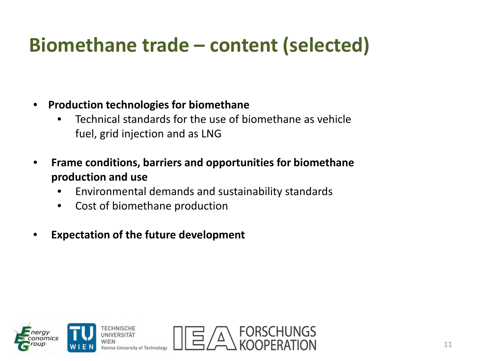### **Biomethane trade – content (selected)**

- **Production technologies for biomethane** 
	- Technical standards for the use of biomethane as vehicle fuel, grid injection and as LNG
- **Frame conditions, barriers and opportunities for biomethane production and use**
	- Environmental demands and sustainability standards
	- Cost of biomethane production
- **Expectation of the future development**

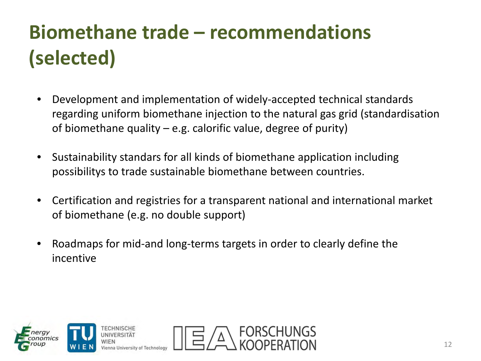## **Biomethane trade – recommendations (selected)**

- Development and implementation of widely-accepted technical standards regarding uniform biomethane injection to the natural gas grid (standardisation of biomethane quality – e.g. calorific value, degree of purity)
- Sustainability standars for all kinds of biomethane application including possibilitys to trade sustainable biomethane between countries.
- Certification and registries for a transparent national and international market of biomethane (e.g. no double support)
- Roadmaps for mid-and long-terms targets in order to clearly define the incentive

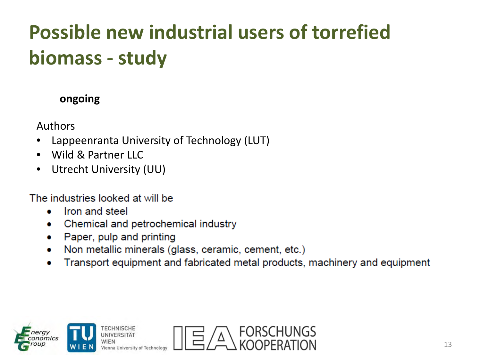## **Possible new industrial users of torrefied biomass - study**

### **ongoing**

Authors

- Lappeenranta University of Technology (LUT)
- Wild & Partner LLC
- Utrecht University (UU)

The industries looked at will be

- Iron and steel  $\bullet$
- Chemical and petrochemical industry  $\bullet$
- Paper, pulp and printing ۰
- Non metallic minerals (glass, ceramic, cement, etc.) ۰
- Transport equipment and fabricated metal products, machinery and equipment ۰



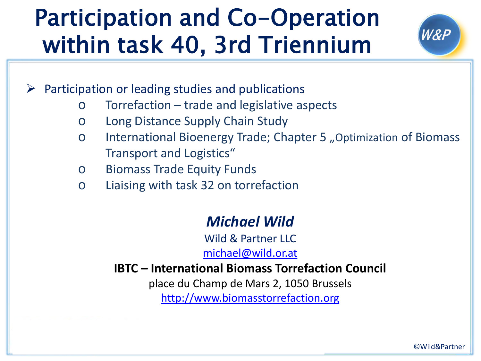## Participation and Co-Operation within task 40, 3rd Triennium

W&P

Participation or leading studies and publications

- o Torrefaction trade and legislative aspects
- o Long Distance Supply Chain Study
- o International Bioenergy Trade; Chapter 5 "Optimization of Biomass Transport and Logistics"
- o Biomass Trade Equity Funds
- o Liaising with task 32 on torrefaction

### *Michael Wild*

Wild & Partner LLC [michael@wild.or.at](mailto:michael@wild.or.at)

### **IBTC – International Biomass Torrefaction Council**

place du Champ de Mars 2, 1050 Brussels

[http://](http://www.aebiom.org/blog/ibtc/)[www.biomasstorrefaction.org](http://www.biomasstorrefaction.org/)